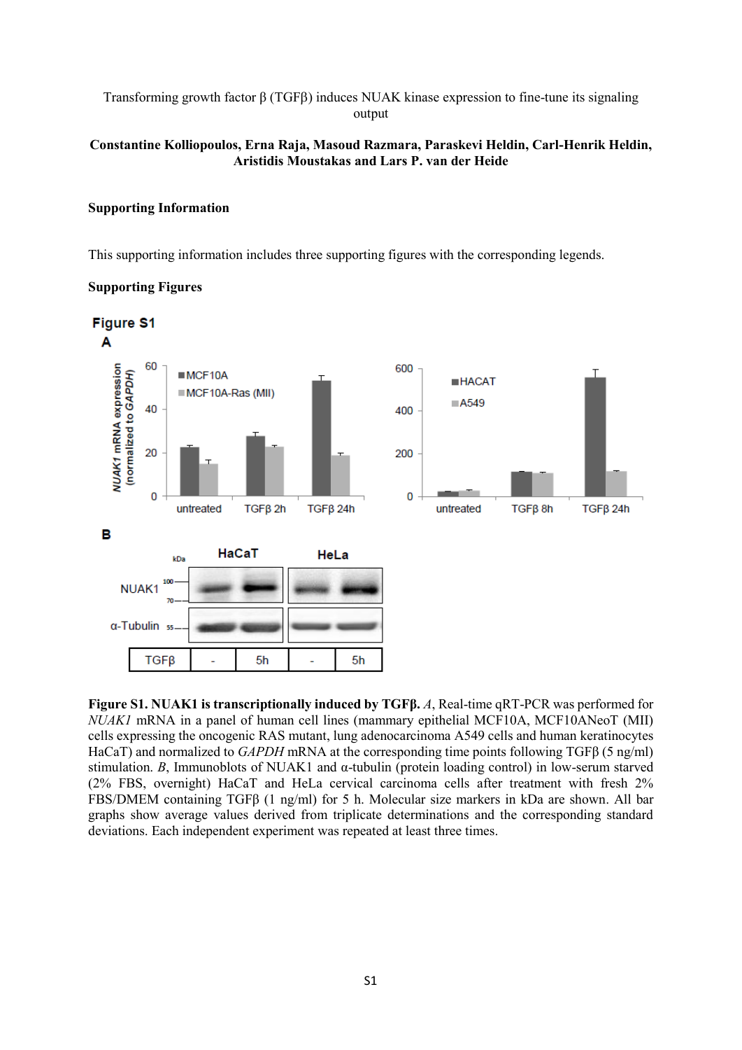Transforming growth factor  $\beta$  (TGF $\beta$ ) induces NUAK kinase expression to fine-tune its signaling output

### **Constantine Kolliopoulos, Erna Raja, Masoud Razmara, Paraskevi Heldin, Carl-Henrik Heldin, Aristidis Moustakas and Lars P. van der Heide**

#### **Supporting Information**

This supporting information includes three supporting figures with the corresponding legends.

### **Supporting Figures**



**Figure S1. NUAK1 is transcriptionally induced by TGFβ.** *A*, Real-time qRT-PCR was performed for *NUAK1* mRNA in a panel of human cell lines (mammary epithelial MCF10A, MCF10ANeoT (MII) cells expressing the oncogenic RAS mutant, lung adenocarcinoma A549 cells and human keratinocytes HaCaT) and normalized to *GAPDH* mRNA at the corresponding time points following TGFβ (5 ng/ml) stimulation. *B*, Immunoblots of NUAK1 and α-tubulin (protein loading control) in low-serum starved (2% FBS, overnight) HaCaT and HeLa cervical carcinoma cells after treatment with fresh 2% FBS/DMEM containing TGFβ (1 ng/ml) for 5 h. Molecular size markers in kDa are shown. All bar graphs show average values derived from triplicate determinations and the corresponding standard deviations. Each independent experiment was repeated at least three times.